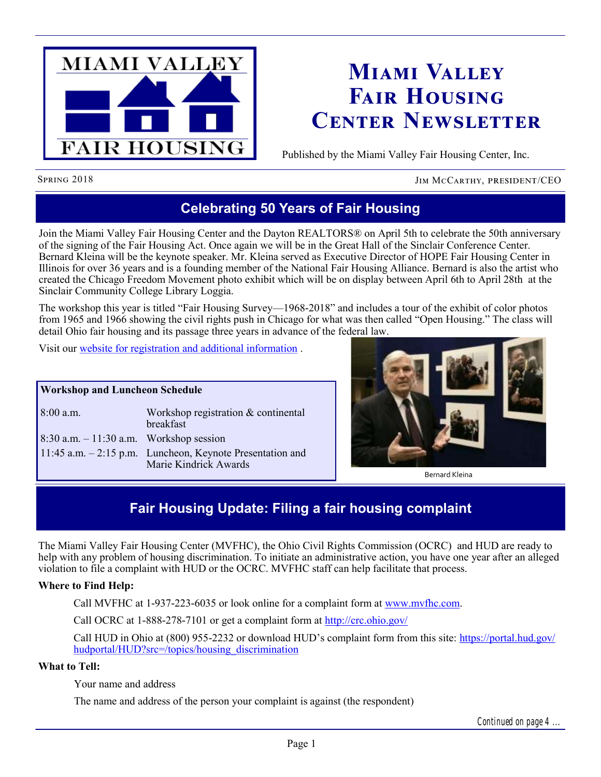

# **Miami Valley Fair Housing Center Newsletter**

Published by the Miami Valley Fair Housing Center, Inc.

Spring 2018 Jim McCarthy, president/CEO

## **Celebrating 50 Years of Fair Housing**

Join the Miami Valley Fair Housing Center and the Dayton REALTORS® on April 5th to celebrate the 50th anniversary of the signing of the Fair Housing Act. Once again we will be in the Great Hall of the Sinclair Conference Center. Bernard Kleina will be the keynote speaker. Mr. Kleina served as Executive Director of HOPE Fair Housing Center in Illinois for over 36 years and is a founding member of the National Fair Housing Alliance. Bernard is also the artist who created the Chicago Freedom Movement photo exhibit which will be on display between April 6th to April 28th at the Sinclair Community College Library Loggia.

The workshop this year is titled "Fair Housing Survey—1968-2018" and includes a tour of the exhibit of color photos from 1965 and 1966 showing the civil rights push in Chicago for what was then called "Open Housing." The class will detail Ohio fair housing and its passage three years in advance of the federal law.

Visit our [website for registration and additional information](http://mvfairhousing.com/fhmonth2018/) .

#### **Workshop and Luncheon Schedule**

| $8:00$ a.m.                                | Workshop registration & continental<br><b>breakfast</b>                             |
|--------------------------------------------|-------------------------------------------------------------------------------------|
| $8:30$ a.m. $-11:30$ a.m. Workshop session |                                                                                     |
|                                            | 11:45 a.m. $-2:15$ p.m. Luncheon, Keynote Presentation and<br>Marie Kindrick Awards |



Bernard Kleina

## **Fair Housing Update: Filing a fair housing complaint**

The Miami Valley Fair Housing Center (MVFHC), the Ohio Civil Rights Commission (OCRC) and HUD are ready to help with any problem of housing discrimination. To initiate an administrative action, you have one year after an alleged violation to file a complaint with HUD or the OCRC. MVFHC staff can help facilitate that process.

### **Where to Find Help:**

Call MVFHC at 1-937-223-6035 or look online for a complaint form at [www.mvfhc.com.](http://www.mvfhc.com)

Call OCRC at 1-888-278-7101 or get a complaint form at http://crc.ohio.gov/

Call HUD in Ohio at (800) 955-2232 or download HUD's complaint form from this site: [https://portal.hud.gov/](https://portal.hud.gov/hudportal/HUD?src=/topics/housing_discrimination) [hudportal/HUD?src=/topics/housing\\_discrimination](https://portal.hud.gov/hudportal/HUD?src=/topics/housing_discrimination)

#### **What to Tell:**

Your name and address

The name and address of the person your complaint is against (the respondent)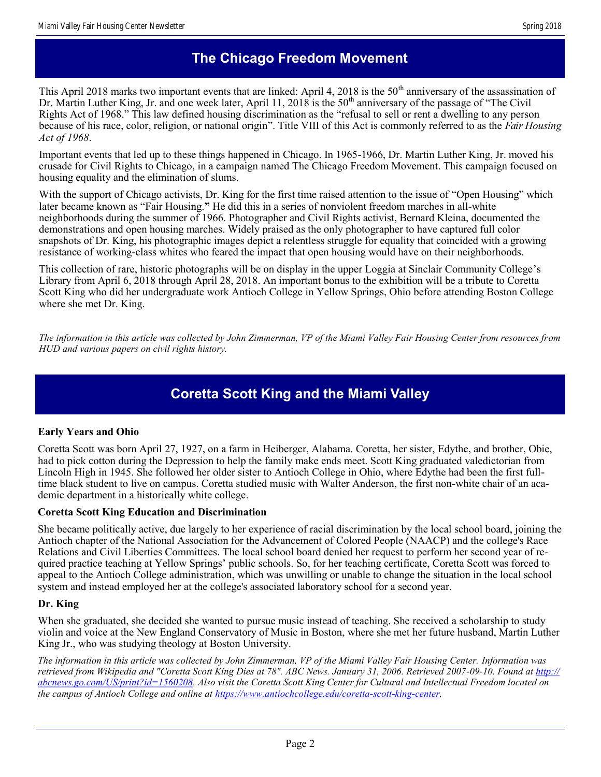### **The Chicago Freedom Movement**

This April 2018 marks two important events that are linked: April 4, 2018 is the  $50<sup>th</sup>$  anniversary of the assassination of Dr. Martin Luther King, Jr. and one week later, April 11, 2018 is the  $50<sup>th</sup>$  anniversary of the passage of "The Civil" Rights Act of 1968." This law defined housing discrimination as the "refusal to sell or rent a dwelling to any person because of his race, color, religion, or national origin". Title VIII of this Act is commonly referred to as the *Fair Housing Act of 1968*.

Important events that led up to these things happened in Chicago. In 1965-1966, Dr. Martin Luther King, Jr. moved his crusade for Civil Rights to Chicago, in a campaign named The Chicago Freedom Movement. This campaign focused on housing equality and the elimination of slums.

With the support of Chicago activists, Dr. King for the first time raised attention to the issue of "Open Housing" which later became known as "Fair Housing.**"** He did this in a series of nonviolent freedom marches in all-white neighborhoods during the summer of 1966. Photographer and Civil Rights activist, Bernard Kleina, documented the demonstrations and open housing marches. Widely praised as the only photographer to have captured full color snapshots of Dr. King, his photographic images depict a relentless struggle for equality that coincided with a growing resistance of working-class whites who feared the impact that open housing would have on their neighborhoods.

This collection of rare, historic photographs will be on display in the upper Loggia at Sinclair Community College's Library from April 6, 2018 through April 28, 2018. An important bonus to the exhibition will be a tribute to Coretta Scott King who did her undergraduate work Antioch College in Yellow Springs, Ohio before attending Boston College where she met Dr. King.

*The information in this article was collected by John Zimmerman, VP of the Miami Valley Fair Housing Center from resources from HUD and various papers on civil rights history.*

# **Coretta Scott King and the Miami Valley**

### **Early Years and Ohio**

Coretta Scott was born April 27, 1927, on a farm in Heiberger, Alabama. Coretta, her sister, Edythe, and brother, Obie, had to pick cotton during the Depression to help the family make ends meet. Scott King graduated valedictorian from Lincoln High in 1945. She followed her older sister to Antioch College in Ohio, where Edythe had been the first fulltime black student to live on campus. Coretta studied music with Walter Anderson, the first non-white chair of an academic department in a historically white college.

#### **Coretta Scott King Education and Discrimination**

She became politically active, due largely to her experience of racial discrimination by the local school board, joining the Antioch chapter of the National Association for the Advancement of Colored People (NAACP) and the college's Race Relations and Civil Liberties Committees. The local school board denied her request to perform her second year of required practice teaching at Yellow Springs' public schools. So, for her teaching certificate, Coretta Scott was forced to appeal to the Antioch College administration, which was unwilling or unable to change the situation in the local school system and instead employed her at the college's associated laboratory school for a second year.

### **Dr. King**

When she graduated, she decided she wanted to pursue music instead of teaching. She received a scholarship to study violin and voice at the New England Conservatory of Music in Boston, where she met her future husband, Martin Luther King Jr., who was studying theology at Boston University.

*The information in this article was collected by John Zimmerman, VP of the Miami Valley Fair Housing Center. Information was retrieved from Wikipedia and "Coretta Scott King Dies at 78". ABC News. January 31, 2006. Retrieved 2007-09-10. Found at [http://](http://abcnews.go.com/US/print?id=1560208) [abcnews.go.com/US/print?id=1560208.](http://abcnews.go.com/US/print?id=1560208) Also visit the Coretta Scott King Center for Cultural and Intellectual Freedom located on the campus of Antioch College and online at [https://www.antiochcollege.edu/coretta-scott-king-center.](https://www.antiochcollege.edu/coretta-scott-king-center)*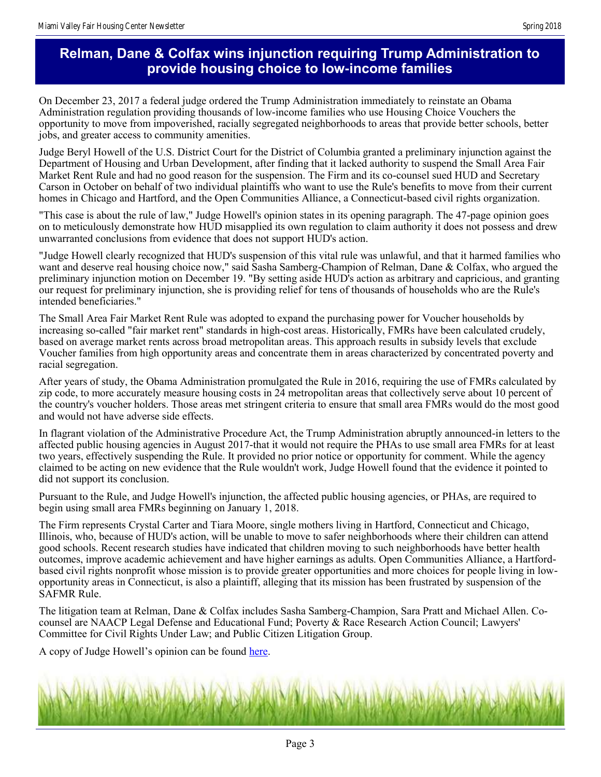### **Relman, Dane & Colfax wins injunction requiring Trump Administration to provide housing choice to low-income families**

On December 23, 2017 a federal judge ordered the Trump Administration immediately to reinstate an Obama Administration regulation providing thousands of low-income families who use Housing Choice Vouchers the opportunity to move from impoverished, racially segregated neighborhoods to areas that provide better schools, better jobs, and greater access to community amenities.

Judge Beryl Howell of the U.S. District Court for the District of Columbia granted a preliminary injunction against the Department of Housing and Urban Development, after finding that it lacked authority to suspend the Small Area Fair Market Rent Rule and had no good reason for the suspension. The Firm and its co-counsel sued HUD and Secretary Carson in October on behalf of two individual plaintiffs who want to use the Rule's benefits to move from their current homes in Chicago and Hartford, and the Open Communities Alliance, a Connecticut-based civil rights organization.

"This case is about the rule of law," Judge Howell's opinion states in its opening paragraph. The 47-page opinion goes on to meticulously demonstrate how HUD misapplied its own regulation to claim authority it does not possess and drew unwarranted conclusions from evidence that does not support HUD's action.

"Judge Howell clearly recognized that HUD's suspension of this vital rule was unlawful, and that it harmed families who want and deserve real housing choice now," said Sasha Samberg-Champion of Relman, Dane & Colfax, who argued the preliminary injunction motion on December 19. "By setting aside HUD's action as arbitrary and capricious, and granting our request for preliminary injunction, she is providing relief for tens of thousands of households who are the Rule's intended beneficiaries."

The Small Area Fair Market Rent Rule was adopted to expand the purchasing power for Voucher households by increasing so-called "fair market rent" standards in high-cost areas. Historically, FMRs have been calculated crudely, based on average market rents across broad metropolitan areas. This approach results in subsidy levels that exclude Voucher families from high opportunity areas and concentrate them in areas characterized by concentrated poverty and racial segregation.

After years of study, the Obama Administration promulgated the Rule in 2016, requiring the use of FMRs calculated by zip code, to more accurately measure housing costs in 24 metropolitan areas that collectively serve about 10 percent of the country's voucher holders. Those areas met stringent criteria to ensure that small area FMRs would do the most good and would not have adverse side effects.

In flagrant violation of the Administrative Procedure Act, the Trump Administration abruptly announced-in letters to the affected public housing agencies in August 2017-that it would not require the PHAs to use small area FMRs for at least two years, effectively suspending the Rule. It provided no prior notice or opportunity for comment. While the agency claimed to be acting on new evidence that the Rule wouldn't work, Judge Howell found that the evidence it pointed to did not support its conclusion.

Pursuant to the Rule, and Judge Howell's injunction, the affected public housing agencies, or PHAs, are required to begin using small area FMRs beginning on January 1, 2018.

The Firm represents Crystal Carter and Tiara Moore, single mothers living in Hartford, Connecticut and Chicago, Illinois, who, because of HUD's action, will be unable to move to safer neighborhoods where their children can attend good schools. Recent research studies have indicated that children moving to such neighborhoods have better health outcomes, improve academic achievement and have higher earnings as adults. Open Communities Alliance, a Hartfordbased civil rights nonprofit whose mission is to provide greater opportunities and more choices for people living in lowopportunity areas in Connecticut, is also a plaintiff, alleging that its mission has been frustrated by suspension of the SAFMR Rule.

The litigation team at Relman, Dane & Colfax includes Sasha Samberg-Champion, Sara Pratt and Michael Allen. Cocounsel are NAACP Legal Defense and Educational Fund; Poverty & Race Research Action Council; Lawyers' Committee for Civil Rights Under Law; and Public Citizen Litigation Group.

A copy of Judge Howell's opinion can be found [here.](http://files.constantcontact.com/c7a20609001/7464eca0-35f3-4d01-a5b1-570791a022ba.pdf)